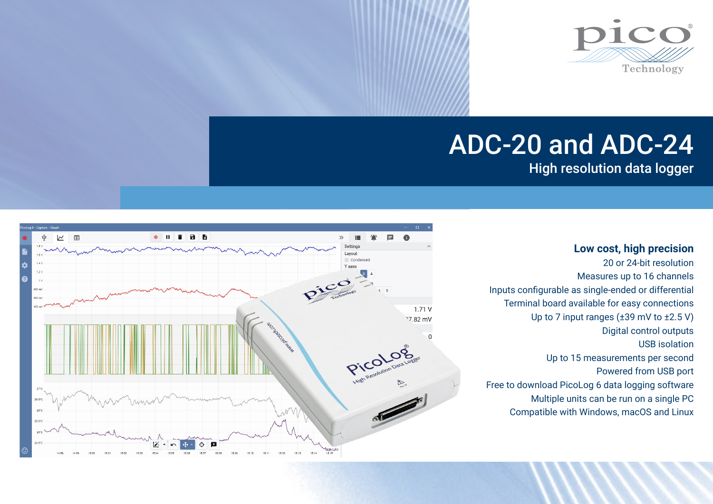

# ADC-20 and ADC-24

High resolution data logger



20 or 24-bit resolution Measures up to 16 channels Inputs configurable as single-ended or differential Terminal board available for easy connections Up to 7 input ranges (±39 mV to ±2.5 V) Digital control outputs USB isolation Up to 15 measurements per second Powered from USB port Free to download PicoLog 6 data logging software Multiple units can be run on a single PC Compatible with Windows, macOS and Linux

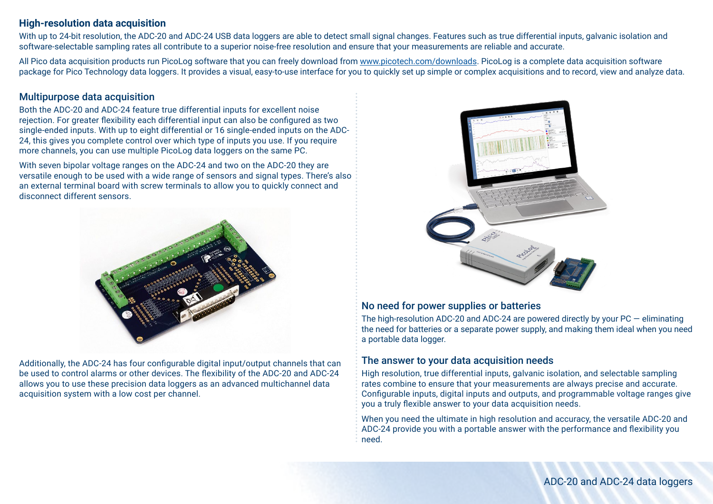## **High-resolution data acquisition**

With up to 24-bit resolution, the ADC-20 and ADC-24 USB data loggers are able to detect small signal changes. Features such as true differential inputs, galvanic isolation and software-selectable sampling rates all contribute to a superior noise-free resolution and ensure that your measurements are reliable and accurate.

All Pico data acquisition products run PicoLog software that you can freely download from [www.picotech.com/downloads](http://www.picotech.com/downloads). PicoLog is a complete data acquisition software package for Pico Technology data loggers. It provides a visual, easy-to-use interface for you to quickly set up simple or complex acquisitions and to record, view and analyze data.

## Multipurpose data acquisition

Both the ADC-20 and ADC-24 feature true differential inputs for excellent noise rejection. For greater flexibility each differential input can also be configured as two single-ended inputs. With up to eight differential or 16 single-ended inputs on the ADC-24, this gives you complete control over which type of inputs you use. If you require more channels, you can use multiple PicoLog data loggers on the same PC.

With seven bipolar voltage ranges on the ADC-24 and two on the ADC-20 they are versatile enough to be used with a wide range of sensors and signal types. There's also an external terminal board with screw terminals to allow you to quickly connect and disconnect different sensors.



Additionally, the ADC-24 has four configurable digital input/output channels that can be used to control alarms or other devices. The flexibility of the ADC-20 and ADC-24 allows you to use these precision data loggers as an advanced multichannel data acquisition system with a low cost per channel.



### No need for power supplies or batteries

The high-resolution ADC-20 and ADC-24 are powered directly by your  $PC -$  eliminating the need for batteries or a separate power supply, and making them ideal when you need a portable data logger.

# The answer to your data acquisition needs

High resolution, true differential inputs, galvanic isolation, and selectable sampling rates combine to ensure that your measurements are always precise and accurate. Configurable inputs, digital inputs and outputs, and programmable voltage ranges give you a truly flexible answer to your data acquisition needs.

When you need the ultimate in high resolution and accuracy, the versatile ADC-20 and ADC-24 provide you with a portable answer with the performance and flexibility you need.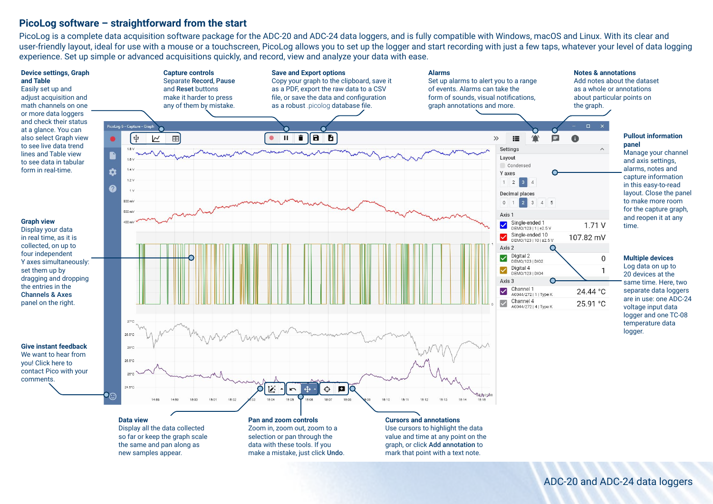### **PicoLog software – straightforward from the start**

new samples appear.

PicoLog is a complete data acquisition software package for the ADC-20 and ADC-24 data loggers, and is fully compatible with Windows, macOS and Linux. With its clear and user-friendly layout, ideal for use with a mouse or a touchscreen, PicoLog allows you to set up the logger and start recording with just a few taps, whatever your level of data logging experience. Set up simple or advanced acquisitions quickly, and record, view and analyze your data with ease.



mark that point with a text note.

make a mistake, just click Undo.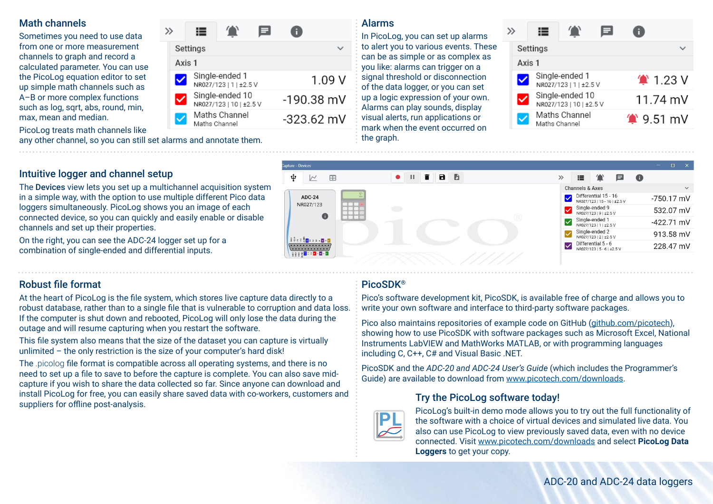## Math channels

Sometimes you need to use data from one or more measurement channels to graph and record a calculated parameter. You can use the PicoLog equation editor to set up simple math channels such as A–B or more complex functions such as log, sqrt, abs, round, min, max, mean and median.

PicoLog treats math channels like

 $\equiv$  $\gg$ Settings  $\checkmark$ Axis 1 Single-ended 1  $1.09V$ NR027/123 | 1 | ±2.5 V Single-ended 10 ⊽  $-190.38$  mV NR027/123 | 10 | ±2.5 V Maths Channel  $-323.62$  mV Maths Channel

# Alarms

In PicoLog, you can set up alarms to alert you to various events. These can be as simple or as complex as you like: alarms can trigger on a signal threshold or disconnection of the data logger, or you can set up a logic expression of your own. Alarms can play sounds, display visual alerts, run applications or mark when the event occurred on the graph.

|        | Settings      |                                            |                          |                           |  |  |
|--------|---------------|--------------------------------------------|--------------------------|---------------------------|--|--|
| Axis 1 |               |                                            |                          |                           |  |  |
|        |               | Single-ended 1<br>NR027/123   1   ±2.5 V   | $^{\prime\prime}$ 1.23 V |                           |  |  |
|        |               | Single-ended 10<br>NR027/123   10   ±2.5 V |                          | 11.74 mV                  |  |  |
|        | Maths Channel | Maths Channel                              |                          | $^{\prime\prime}$ 9.51 mV |  |  |

#### apture - Devices  $\mathbf{\hat{\Psi}}$  $\overline{\mathcal{M}}$  $\blacksquare$  $\blacksquare$  $A$   $A$  $\rightarrow$  $\Box$  $\mathbf{a}$ Channels & Axes Differential 15 - 16 **ADC-24**  $-750.17$  mV NR027/123 | 15 - 16 | ±2.5 V NR027/123 Single-ended 9 532.07 mV R027/123191+2.5V Single-ended 1  $-422.71$  mV R027/123 | 1 | ±2.5 V Single-ended 2 913.58 mV R027/123 | 2 | ±2.5 V **AND RESEARCH** Differential 5 - 6  $\sqrt{2}$ 228.47 mV R027/12315-61+2.5V 88882000000

# Intuitive logger and channel setup

The Devices view lets you set up a multichannel acquisition system in a simple way, with the option to use multiple different Pico data loggers simultaneously. PicoLog shows you an image of each connected device, so you can quickly and easily enable or disable channels and set up their properties.

any other channel, so you can still set alarms and annotate them.

On the right, you can see the ADC-24 logger set up for a combination of single-ended and differential inputs.

# Robust file format

At the heart of PicoLog is the file system, which stores live capture data directly to a robust database, rather than to a single file that is vulnerable to corruption and data loss. If the computer is shut down and rebooted, PicoLog will only lose the data during the outage and will resume capturing when you restart the software.

This file system also means that the size of the dataset you can capture is virtually unlimited – the only restriction is the size of your computer's hard disk!

The .picolog file format is compatible across all operating systems, and there is no need to set up a file to save to before the capture is complete. You can also save midcapture if you wish to share the data collected so far. Since anyone can download and install PicoLog for free, you can easily share saved data with co-workers, customers and suppliers for offline post-analysis.

# PicoSDK®

Pico's software development kit, PicoSDK, is available free of charge and allows you to write your own software and interface to third-party software packages.

Pico also maintains repositories of example code on GitHub [\(github.com/picotech](https://github.com/picotech)), showing how to use PicoSDK with software packages such as Microsoft Excel, National Instruments LabVIEW and MathWorks MATLAB, or with programming languages including C, C++, C# and Visual Basic .NET.

PicoSDK and the *ADC-20 and ADC-24 User's Guide* (which includes the Programmer's Guide) are available to download from [www.picotech.com/downloads.](http://www.picotech.com/downloads)

# Try the PicoLog software today!



PicoLog's built-in demo mode allows you to try out the full functionality of the software with a choice of virtual devices and simulated live data. You also can use PicoLog to view previously saved data, even with no device connected. Visit [www.picotech.com/downloads](http://www.picotech.com/downloads) and select **PicoLog Data Loggers** to get your copy.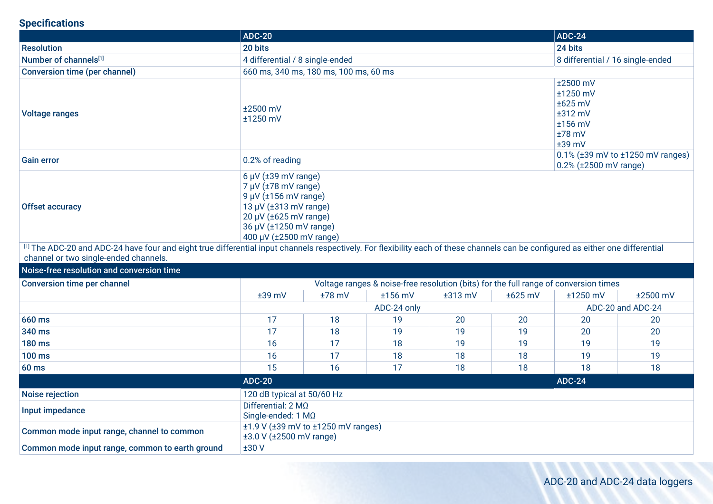# **Specifications**

|                                                                                                                                                                                                                           | <b>ADC-20</b>                                                                                                                                                                                                   |                                       |             |           |                                                                                 | <b>ADC-24</b>     |          |  |
|---------------------------------------------------------------------------------------------------------------------------------------------------------------------------------------------------------------------------|-----------------------------------------------------------------------------------------------------------------------------------------------------------------------------------------------------------------|---------------------------------------|-------------|-----------|---------------------------------------------------------------------------------|-------------------|----------|--|
| <b>Resolution</b>                                                                                                                                                                                                         | 20 bits                                                                                                                                                                                                         |                                       |             |           | 24 bits                                                                         |                   |          |  |
| Number of channels[1]                                                                                                                                                                                                     | 4 differential / 8 single-ended                                                                                                                                                                                 |                                       |             |           | 8 differential / 16 single-ended                                                |                   |          |  |
| <b>Conversion time (per channel)</b>                                                                                                                                                                                      |                                                                                                                                                                                                                 | 660 ms, 340 ms, 180 ms, 100 ms, 60 ms |             |           |                                                                                 |                   |          |  |
| <b>Voltage ranges</b>                                                                                                                                                                                                     | ±2500 mV<br>±1250 mV                                                                                                                                                                                            |                                       |             |           | ±2500 mV<br>±1250 mV<br>±625 mV<br>$±312$ mV<br>±156 mV<br>$±78$ mV<br>$±39$ mV |                   |          |  |
| <b>Gain error</b>                                                                                                                                                                                                         | 0.2% of reading                                                                                                                                                                                                 |                                       |             |           | $0.1\%$ ( $\pm 39$ mV to $\pm 1250$ mV ranges)<br>0.2% (±2500 mV range)         |                   |          |  |
| <b>Offset accuracy</b>                                                                                                                                                                                                    | $6 \mu V$ ( $\pm 39 \text{ mV}$ range)<br>$7 \mu V$ ( $\pm 78 \text{ mV}$ range)<br>9 µV (±156 mV range)<br>13 µV (±313 mV range)<br>20 µV (±625 mV range)<br>36 µV (±1250 mV range)<br>400 μV (±2500 mV range) |                                       |             |           |                                                                                 |                   |          |  |
| [1] The ADC-20 and ADC-24 have four and eight true differential input channels respectively. For flexibility each of these channels can be configured as either one differential<br>channel or two single-ended channels. |                                                                                                                                                                                                                 |                                       |             |           |                                                                                 |                   |          |  |
| Noise-free resolution and conversion time                                                                                                                                                                                 |                                                                                                                                                                                                                 |                                       |             |           |                                                                                 |                   |          |  |
| <b>Conversion time per channel</b><br>Voltage ranges & noise-free resolution (bits) for the full range of conversion times                                                                                                |                                                                                                                                                                                                                 |                                       |             |           |                                                                                 |                   |          |  |
|                                                                                                                                                                                                                           | $±39$ mV                                                                                                                                                                                                        | $±78$ mV                              | $±156$ mV   | $±313$ mV | $±625$ mV                                                                       | ±1250 mV          | ±2500 mV |  |
|                                                                                                                                                                                                                           |                                                                                                                                                                                                                 |                                       | ADC-24 only |           |                                                                                 | ADC-20 and ADC-24 |          |  |
| 660 ms                                                                                                                                                                                                                    | 17                                                                                                                                                                                                              | 18                                    | 19          | 20        | 20                                                                              | 20                | 20       |  |
| 340 ms                                                                                                                                                                                                                    | 17                                                                                                                                                                                                              | 18                                    | 19          | 19        | 19                                                                              | 20                | 20       |  |
| <b>180 ms</b>                                                                                                                                                                                                             | 16                                                                                                                                                                                                              | 17                                    | 18          | 19        | 19                                                                              | 19                | 19       |  |
| <b>100 ms</b>                                                                                                                                                                                                             | 16                                                                                                                                                                                                              | 17                                    | 18          | 18        | 18                                                                              | 19                | 19       |  |
| <b>60 ms</b>                                                                                                                                                                                                              | 15                                                                                                                                                                                                              | 16                                    | 17          | 18        | 18                                                                              | 18                | 18       |  |
| <b>ADC-20</b><br><b>ADC-24</b>                                                                                                                                                                                            |                                                                                                                                                                                                                 |                                       |             |           |                                                                                 |                   |          |  |
| <b>Noise rejection</b>                                                                                                                                                                                                    | 120 dB typical at 50/60 Hz                                                                                                                                                                                      |                                       |             |           |                                                                                 |                   |          |  |
| Input impedance                                                                                                                                                                                                           | Differential: $2 \text{ M}\Omega$<br>Single-ended: 1 MQ                                                                                                                                                         |                                       |             |           |                                                                                 |                   |          |  |
| Common mode input range, channel to common                                                                                                                                                                                | $\pm$ 1.9 V ( $\pm$ 39 mV to $\pm$ 1250 mV ranges)<br>±3.0 V (±2500 mV range)                                                                                                                                   |                                       |             |           |                                                                                 |                   |          |  |
| Common mode input range, common to earth ground                                                                                                                                                                           | ±30V                                                                                                                                                                                                            |                                       |             |           |                                                                                 |                   |          |  |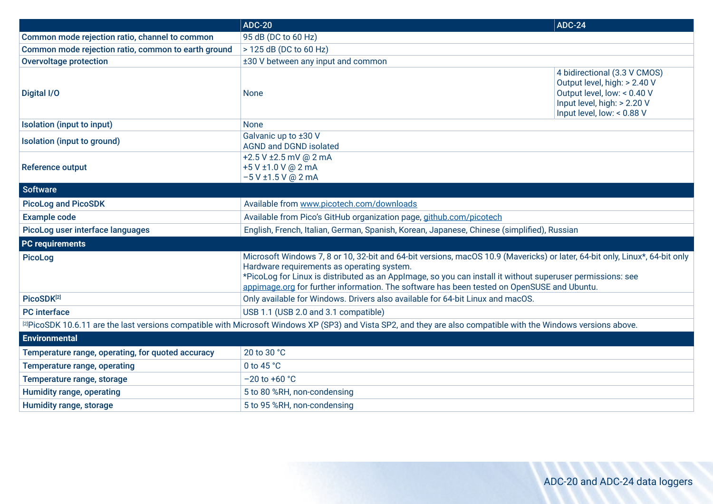|                                                     | <b>ADC-20</b>                                                                                                                                                                                                                                                                                                                                                                         | <b>ADC-24</b>                                                                                                                                            |  |  |  |
|-----------------------------------------------------|---------------------------------------------------------------------------------------------------------------------------------------------------------------------------------------------------------------------------------------------------------------------------------------------------------------------------------------------------------------------------------------|----------------------------------------------------------------------------------------------------------------------------------------------------------|--|--|--|
| Common mode rejection ratio, channel to common      | 95 dB (DC to 60 Hz)                                                                                                                                                                                                                                                                                                                                                                   |                                                                                                                                                          |  |  |  |
| Common mode rejection ratio, common to earth ground | > 125 dB (DC to 60 Hz)                                                                                                                                                                                                                                                                                                                                                                |                                                                                                                                                          |  |  |  |
| <b>Overvoltage protection</b>                       | ±30 V between any input and common                                                                                                                                                                                                                                                                                                                                                    |                                                                                                                                                          |  |  |  |
| Digital I/O                                         | <b>None</b>                                                                                                                                                                                                                                                                                                                                                                           | 4 bidirectional (3.3 V CMOS)<br>Output level, high: > 2.40 V<br>Output level, low: < 0.40 V<br>Input level, high: > 2.20 V<br>Input level, low: < 0.88 V |  |  |  |
| Isolation (input to input)                          | <b>None</b>                                                                                                                                                                                                                                                                                                                                                                           |                                                                                                                                                          |  |  |  |
| Isolation (input to ground)                         | Galvanic up to ±30 V<br><b>AGND and DGND isolated</b>                                                                                                                                                                                                                                                                                                                                 |                                                                                                                                                          |  |  |  |
| <b>Reference output</b>                             | +2.5 V ±2.5 mV @ 2 mA<br>+5 V ±1.0 V @ 2 mA<br>$-5$ V $\pm$ 1.5 V @ 2 mA                                                                                                                                                                                                                                                                                                              |                                                                                                                                                          |  |  |  |
| <b>Software</b>                                     |                                                                                                                                                                                                                                                                                                                                                                                       |                                                                                                                                                          |  |  |  |
| <b>PicoLog and PicoSDK</b>                          | Available from www.picotech.com/downloads                                                                                                                                                                                                                                                                                                                                             |                                                                                                                                                          |  |  |  |
| <b>Example code</b>                                 | Available from Pico's GitHub organization page, github.com/picotech                                                                                                                                                                                                                                                                                                                   |                                                                                                                                                          |  |  |  |
| PicoLog user interface languages                    | English, French, Italian, German, Spanish, Korean, Japanese, Chinese (simplified), Russian                                                                                                                                                                                                                                                                                            |                                                                                                                                                          |  |  |  |
| <b>PC</b> requirements                              |                                                                                                                                                                                                                                                                                                                                                                                       |                                                                                                                                                          |  |  |  |
| <b>PicoLog</b>                                      | Microsoft Windows 7, 8 or 10, 32-bit and 64-bit versions, macOS 10.9 (Mavericks) or later, 64-bit only, Linux*, 64-bit only<br>Hardware requirements as operating system.<br>*PicoLog for Linux is distributed as an Applmage, so you can install it without superuser permissions: see<br>appimage.org for further information. The software has been tested on OpenSUSE and Ubuntu. |                                                                                                                                                          |  |  |  |
| PicoSDK[2]                                          | Only available for Windows. Drivers also available for 64-bit Linux and macOS.                                                                                                                                                                                                                                                                                                        |                                                                                                                                                          |  |  |  |
| <b>PC</b> interface                                 | USB 1.1 (USB 2.0 and 3.1 compatible)                                                                                                                                                                                                                                                                                                                                                  |                                                                                                                                                          |  |  |  |
|                                                     | [2] PicoSDK 10.6.11 are the last versions compatible with Microsoft Windows XP (SP3) and Vista SP2, and they are also compatible with the Windows versions above.                                                                                                                                                                                                                     |                                                                                                                                                          |  |  |  |
| <b>Environmental</b>                                |                                                                                                                                                                                                                                                                                                                                                                                       |                                                                                                                                                          |  |  |  |
| Temperature range, operating, for quoted accuracy   | 20 to 30 °C                                                                                                                                                                                                                                                                                                                                                                           |                                                                                                                                                          |  |  |  |
| Temperature range, operating                        | 0 to 45 °C                                                                                                                                                                                                                                                                                                                                                                            |                                                                                                                                                          |  |  |  |
| Temperature range, storage                          | $-20$ to $+60$ °C                                                                                                                                                                                                                                                                                                                                                                     |                                                                                                                                                          |  |  |  |
| <b>Humidity range, operating</b>                    | 5 to 80 %RH, non-condensing                                                                                                                                                                                                                                                                                                                                                           |                                                                                                                                                          |  |  |  |
| Humidity range, storage                             | 5 to 95 %RH, non-condensing                                                                                                                                                                                                                                                                                                                                                           |                                                                                                                                                          |  |  |  |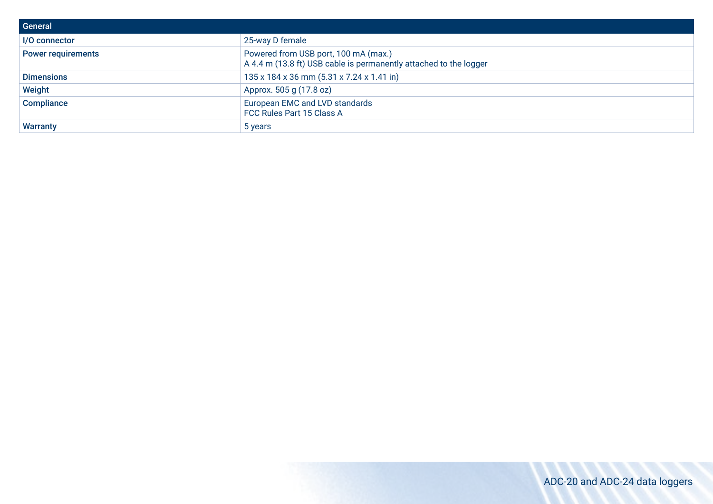| General                   |                                                                                                           |
|---------------------------|-----------------------------------------------------------------------------------------------------------|
| I/O connector             | 25-way D female                                                                                           |
| <b>Power requirements</b> | Powered from USB port, 100 mA (max.)<br>A 4.4 m (13.8 ft) USB cable is permanently attached to the logger |
| <b>Dimensions</b>         | 135 x 184 x 36 mm (5.31 x 7.24 x 1.41 in)                                                                 |
| Weight                    | Approx. 505 g (17.8 oz)                                                                                   |
| <b>Compliance</b>         | European EMC and LVD standards<br>FCC Rules Part 15 Class A                                               |
| <b>Warranty</b>           | 5 years                                                                                                   |